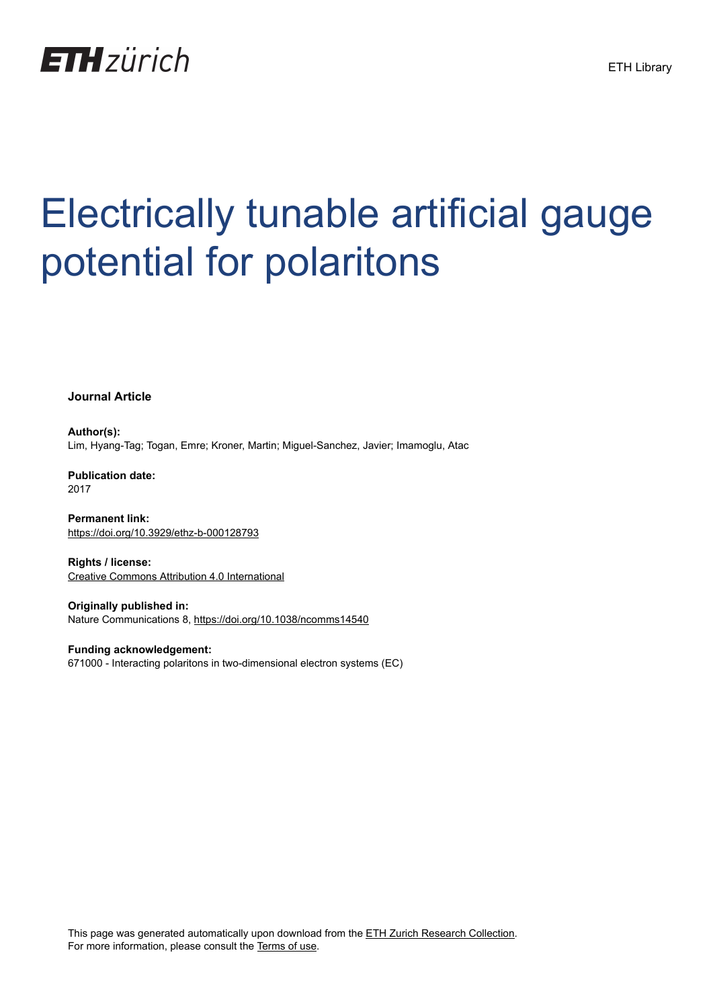

# Electrically tunable artificial gauge potential for polaritons

**Journal Article**

**Author(s):** Lim, Hyang-Tag; Togan, Emre; Kroner, Martin; Miguel-Sanchez, Javier; Imamoglu, Atac

**Publication date:** 2017

**Permanent link:** <https://doi.org/10.3929/ethz-b-000128793>

**Rights / license:** [Creative Commons Attribution 4.0 International](http://creativecommons.org/licenses/by/4.0/)

**Originally published in:** Nature Communications 8,<https://doi.org/10.1038/ncomms14540>

**Funding acknowledgement:** 671000 - Interacting polaritons in two-dimensional electron systems (EC)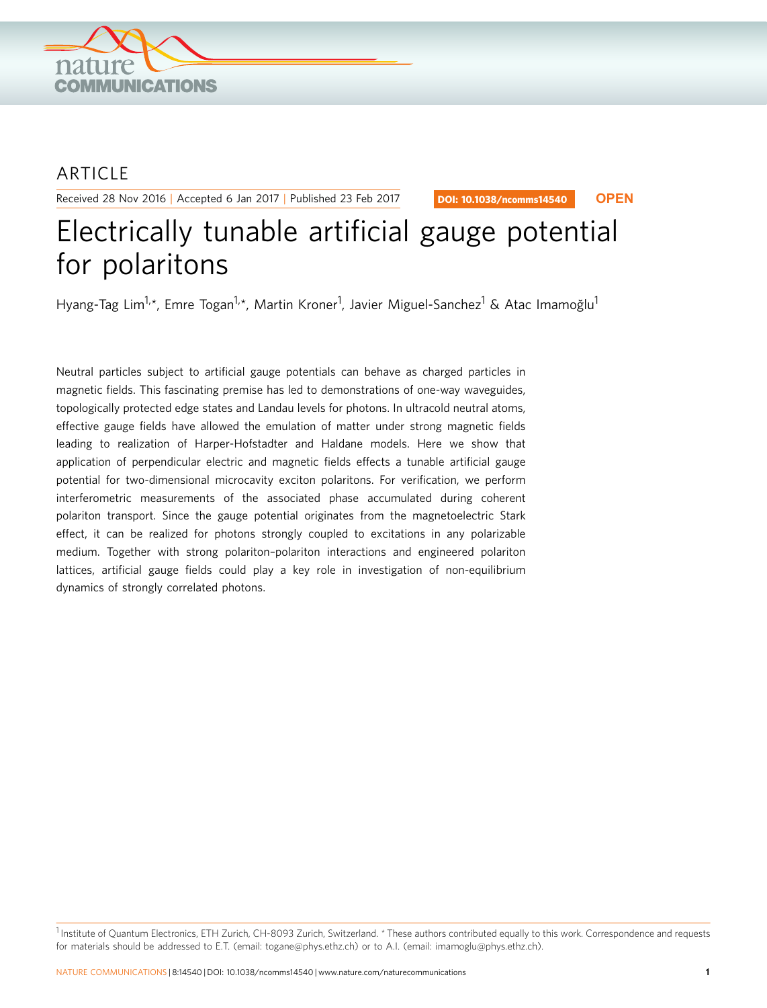

### ARTICLE

Received 28 Nov 2016 | Accepted 6 Jan 2017 | Published 23 Feb 2017

DOI: 10.1038/ncomms14540 **OPEN**

## Electrically tunable artificial gauge potential for polaritons

Hyang-Tag Lim<sup>1,</sup>\*, Emre Togan<sup>1,</sup>\*, Martin Kroner<sup>1</sup>, Javier Miguel-Sanchez<sup>1</sup> & Atac Imamoğlu<sup>1</sup>

Neutral particles subject to artificial gauge potentials can behave as charged particles in magnetic fields. This fascinating premise has led to demonstrations of one-way waveguides, topologically protected edge states and Landau levels for photons. In ultracold neutral atoms, effective gauge fields have allowed the emulation of matter under strong magnetic fields leading to realization of Harper-Hofstadter and Haldane models. Here we show that application of perpendicular electric and magnetic fields effects a tunable artificial gauge potential for two-dimensional microcavity exciton polaritons. For verification, we perform interferometric measurements of the associated phase accumulated during coherent polariton transport. Since the gauge potential originates from the magnetoelectric Stark effect, it can be realized for photons strongly coupled to excitations in any polarizable medium. Together with strong polariton–polariton interactions and engineered polariton lattices, artificial gauge fields could play a key role in investigation of non-equilibrium dynamics of strongly correlated photons.

<sup>1</sup> Institute of Quantum Electronics, ETH Zurich, CH-8093 Zurich, Switzerland. \* These authors contributed equally to this work. Correspondence and requests for materials should be addressed to E.T. (email: [togane@phys.ethz.ch](mailto:togane@phys.ethz.ch)) or to A.I. (email: [imamoglu@phys.ethz.ch](mailto:imamoglu@phys.ethz.ch)).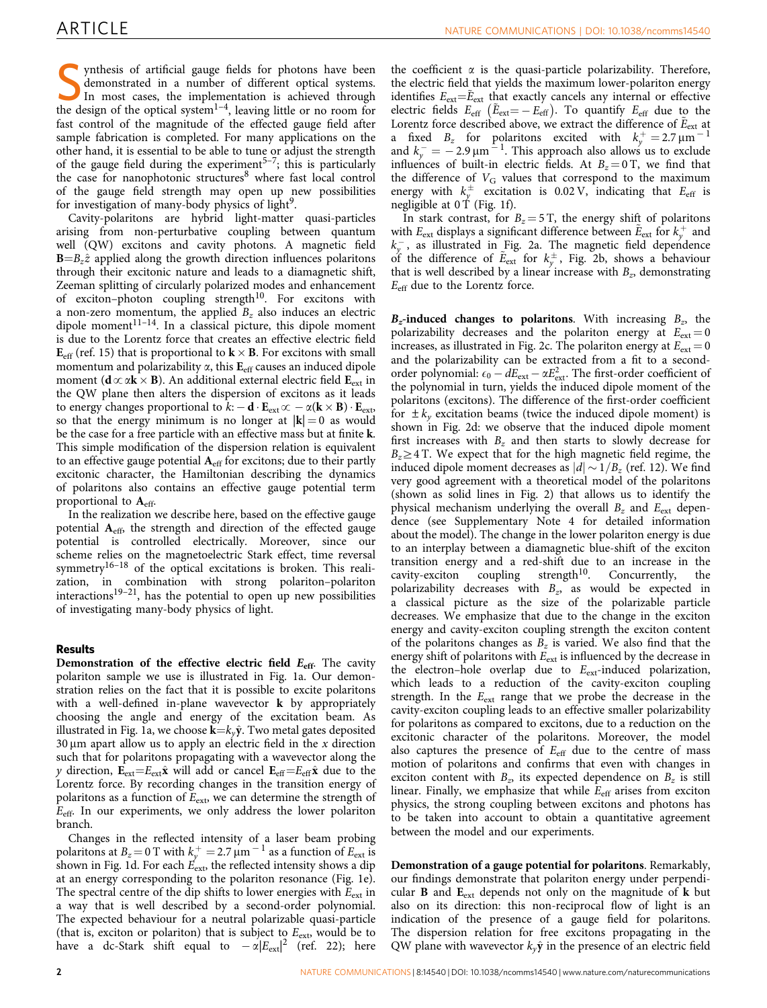Synthesis of artificial gauge fields for photons have been<br>demonstrated in a number of different optical systems.<br>In most cases, the implementation is achieved through<br>the design of the optical system<sup>1-4</sup> leaving little demonstrated in a number of different optical systems. the design of the optical system<sup>1-4</sup>, leaving little or no room for fast control of the magnitude of the effected gauge field after sample fabrication is completed. For many applications on the other hand, it is essential to be able to tune or adjust the strength of the gauge field during the experiment<sup>5-7</sup>; this is particularly the case for nanophotonic structures $8$  where fast local control of the gauge field strength may open up new possibilities for investigation of many-body physics of light $9$ .

Cavity-polaritons are hybrid light-matter quasi-particles arising from non-perturbative coupling between quantum well (QW) excitons and cavity photons. A magnetic field  $B = B_z \hat{z}$  applied along the growth direction influences polaritons through their excitonic nature and leads to a diamagnetic shift, Zeeman splitting of circularly polarized modes and enhancement of exciton–photon coupling strength<sup>[10](#page-6-0)</sup>. For excitons with a non-zero momentum, the applied  $B_z$  also induces an electric dipole moment<sup>11-14</sup>. In a classical picture, this dipole moment is due to the Lorentz force that creates an effective electric field  $\mathbf{E}_{\rm eff}$  ([ref. 15\)](#page-6-0) that is proportional to  $\mathbf{k}\times\mathbf{B}.$  For excitons with small momentum and polarizability  $\alpha$ , this  $E_{\text{eff}}$  causes an induced dipole moment ( $\mathbf{d} \propto \alpha \mathbf{k} \times \mathbf{B}$ ). An additional external electric field  $\mathbf{E}_{\text{ext}}$  in the QW plane then alters the dispersion of excitons as it leads to energy changes proportional to  $k$ :  $-$  **d**  $\cdot$  **E**<sub>ext</sub> $\infty$   $-\alpha$ (**k**  $\times$  **B**)  $\cdot$  **E**<sub>ext</sub>, so that the energy minimum is no longer at  $|k| = 0$  as would be the case for a free particle with an effective mass but at finite k. This simple modification of the dispersion relation is equivalent to an effective gauge potential  $A<sub>eff</sub>$  for excitons; due to their partly excitonic character, the Hamiltonian describing the dynamics of polaritons also contains an effective gauge potential term proportional to  $A_{\text{eff}}$ .

In the realization we describe here, based on the effective gauge potential Aeff, the strength and direction of the effected gauge potential is controlled electrically. Moreover, since our scheme relies on the magnetoelectric Stark effect, time reversal symmetry<sup>16-18</sup> of the optical excitations is broken. This realization, in combination with strong polariton–polariton interactions<sup>19–21</sup>, has the potential to open up new possibilities of investigating many-body physics of light.

#### Results

Demonstration of the effective electric field  $E_{\text{eff}}$ . The cavity polariton sample we use is illustrated in [Fig. 1a.](#page-3-0) Our demonstration relies on the fact that it is possible to excite polaritons with a well-defined in-plane wavevector **k** by appropriately choosing the angle and energy of the excitation beam. As illustrated in [Fig. 1a](#page-3-0), we choose  $\mathbf{k} = k_v \hat{\mathbf{y}}$ . Two metal gates deposited 30  $\mu$ m apart allow us to apply an electric field in the x direction such that for polaritons propagating with a wavevector along the y direction,  $E_{ext} = E_{ext} \hat{x}$  will add or cancel  $E_{eff} = E_{eff} \hat{x}$  due to the Lorentz force. By recording changes in the transition energy of polaritons as a function of  $E_{ext}$ , we can determine the strength of  $E_{\text{eff}}$ . In our experiments, we only address the lower polariton branch.

Changes in the reflected intensity of a laser beam probing polaritons at  $B_z = 0$  T with  $k_y^+ = 2.7 \,\text{\ensuremath{\mu}m}^{-1}$  as a function of  $E_{\text{ext}}$  is shown in [Fig. 1d](#page-3-0). For each  $E_{\rm ext}$  the reflected intensity shows a dip at an energy corresponding to the polariton resonance ([Fig. 1e](#page-3-0)). The spectral centre of the dip shifts to lower energies with  $E_{ext}$  in a way that is well described by a second-order polynomial. The expected behaviour for a neutral polarizable quasi-particle (that is, exciton or polariton) that is subject to  $E_{\text{ext}}$ , would be to have a dc-Stark shift equal to  $-\alpha |E_{ext}|^2$  ([ref. 22\)](#page-6-0); here

the coefficient  $\alpha$  is the quasi-particle polarizability. Therefore, the electric field that yields the maximum lower-polariton energy identifies  $E_{ext}=\tilde{E}_{ext}$  that exactly cancels any internal or effective electric fields  $E_{\text{eff}}$  ( $\tilde{E}_{\text{ext}} = -E_{\text{eff}}$ ). To quantify  $E_{\text{eff}}$  due to the Lorentz force described above, we extract the difference of  $\tilde{E}_{ext}$  at a fixed  $B_z$  for polaritons excited with  $k_y^+ = 2.7 \,\text{\mu m}^{-1}$ and  $k_y = -2.9 \,\mu m^{-1}$ . This approach also allows us to exclude influences of built-in electric fields. At  $B_z = 0$  T, we find that the difference of  $V_G$  values that correspond to the maximum energy with  $k_{y}^{\pm}$  excitation is 0.02 V, indicating that  $E_{\text{eff}}$  is negligible at  $0 \text{ T}$  [\(Fig. 1f\)](#page-3-0).

In stark contrast, for  $B_z = 5$  T, the energy shift of polaritons with  $E_{ext}$  displays a significant difference between  $\tilde{E}_{ext}$  for  $k_y^+$  and  $k_y$ , as illustrated in [Fig. 2a.](#page-4-0) The magnetic field dependence of the difference of  $\tilde{E}_{ext}$  for  $k_y^{\pm}$ , [Fig. 2b,](#page-4-0) shows a behaviour that is well described by a linear increase with  $B<sub>z</sub>$ , demonstrating  $E_{\text{eff}}$  due to the Lorentz force.

 $B_z$ -induced changes to polaritons. With increasing  $B_z$ , the polarizability decreases and the polariton energy at  $E_{\text{ext}} = 0$ increases, as illustrated in [Fig. 2c](#page-4-0). The polariton energy at  $E_{\text{ext}} = 0$ and the polarizability can be extracted from a fit to a secondorder polynomial:  $\epsilon_0 - dE_{\text{ext}} - \alpha E_{\text{ext}}^2$ . The first-order coefficient of the polynomial in turn, yields the induced dipole moment of the polaritons (excitons). The difference of the first-order coefficient for  $\pm k_y$  excitation beams (twice the induced dipole moment) is shown in [Fig. 2d:](#page-4-0) we observe that the induced dipole moment first increases with  $B<sub>z</sub>$  and then starts to slowly decrease for  $B_z \geq 4$  T. We expect that for the high magnetic field regime, the induced dipole moment decreases as  $|d| \sim 1/B_z$  [\(ref. 12](#page-6-0)). We find very good agreement with a theoretical model of the polaritons (shown as solid lines in [Fig. 2\)](#page-4-0) that allows us to identify the physical mechanism underlying the overall  $B<sub>z</sub>$  and  $E<sub>ext</sub>$  dependence (see Supplementary Note 4 for detailed information about the model). The change in the lower polariton energy is due to an interplay between a diamagnetic blue-shift of the exciton transition energy and a red-shift due to an increase in the cavity-exciton coupling strength<sup>10</sup>. Concurrently, the cavity-exciton coupling strength<sup>10</sup>. Concurrently, the polarizability decreases with  $B_z$ , as would be expected in a classical picture as the size of the polarizable particle decreases. We emphasize that due to the change in the exciton energy and cavity-exciton coupling strength the exciton content of the polaritons changes as  $B_z$  is varied. We also find that the energy shift of polaritons with  $E_{\text{ext}}$  is influenced by the decrease in the electron–hole overlap due to  $E_{\text{ext}}$ -induced polarization, which leads to a reduction of the cavity-exciton coupling strength. In the  $E_{\text{ext}}$  range that we probe the decrease in the cavity-exciton coupling leads to an effective smaller polarizability for polaritons as compared to excitons, due to a reduction on the excitonic character of the polaritons. Moreover, the model also captures the presence of  $E_{\text{eff}}$  due to the centre of mass motion of polaritons and confirms that even with changes in exciton content with  $B_z$ , its expected dependence on  $B_z$  is still linear. Finally, we emphasize that while  $E_{\text{eff}}$  arises from exciton physics, the strong coupling between excitons and photons has to be taken into account to obtain a quantitative agreement between the model and our experiments.

Demonstration of a gauge potential for polaritons. Remarkably, our findings demonstrate that polariton energy under perpendicular **B** and  $E_{ext}$  depends not only on the magnitude of **k** but also on its direction: this non-reciprocal flow of light is an indication of the presence of a gauge field for polaritons. The dispersion relation for free excitons propagating in the QW plane with wavevector  $k_{y}\hat{y}$  in the presence of an electric field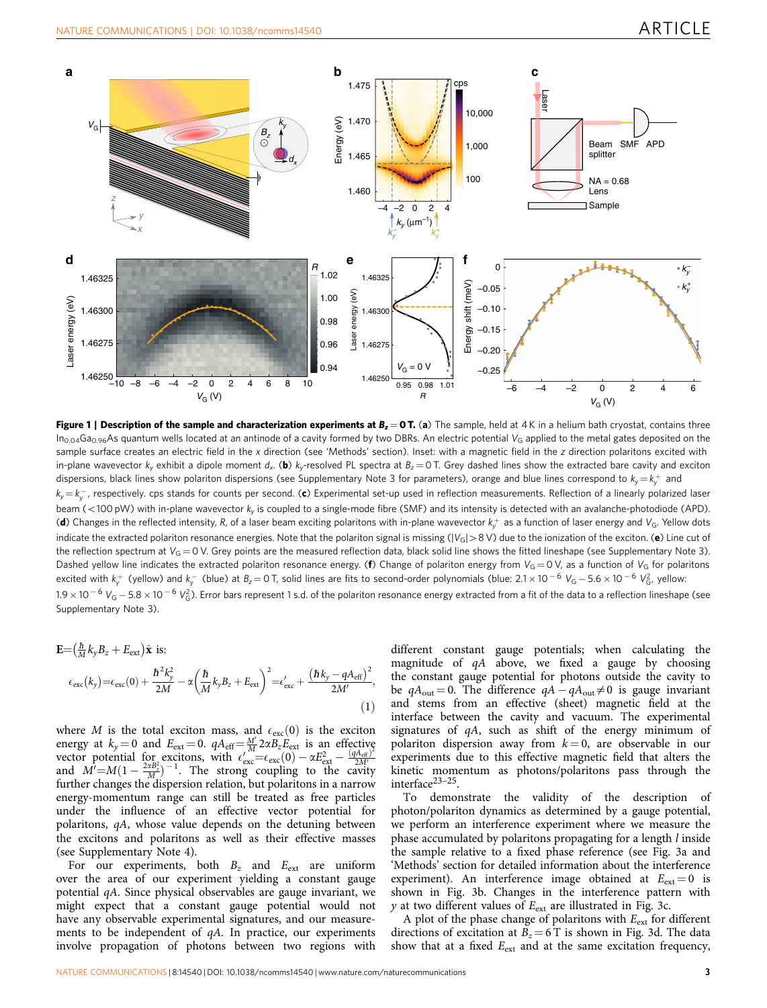<span id="page-3-0"></span>

Figure 1 | Description of the sample and characterization experiments at  $B_z = 0$  T. (a) The sample, held at 4K in a helium bath cryostat, contains three  $In_{0.04}Ga_{0.96}As$  quantum wells located at an antinode of a cavity formed by two DBRs. An electric potential  $V_G$  applied to the metal gates deposited on the sample surface creates an electric field in the x direction (see 'Methods' section). Inset: with a magnetic field in the z direction polaritons excited with in-plane wavevector k<sub>y</sub> exhibit a dipole moment d<sub>x</sub>. (b) k<sub>y</sub>-resolved PL spectra at  $B_z = 0$  T. Grey dashed lines show the extracted bare cavity and exciton dispersions, black lines show polariton dispersions (see Supplementary Note 3 for parameters), orange and blue lines correspond to  $k_y\!=\!k_y^+$  and  $k_y\!=\!k_y^{\,-}$ , respectively. cps stands for counts per second. (c) Experimental set-up used in reflection measurements. Reflection of a linearly polarized laser beam (<100 pW) with in-plane wavevector  $k_y$  is coupled to a single-mode fibre (SMF) and its intensity is detected with an avalanche-photodiode (APD). (**d**) Changes in the reflected intensity, R, of a laser beam exciting polaritons with in-plane wavevector  $k_{y}^{+}$  as a function of laser energy and V<sub>G</sub>. Yellow dots indicate the extracted polariton resonance energies. Note that the polariton signal is missing  $(|V_G| > 8$  V) due to the ionization of the exciton. (e) Line cut of the reflection spectrum at  $V_G = 0$  V. Grey points are the measured reflection data, black solid line shows the fitted lineshape (see Supplementary Note 3). Dashed yellow line indicates the extracted polariton resonance energy. (f) Change of polariton energy from  $V_G = 0 V$ , as a function of  $V_G$  for polaritons excited with  $k_y^+$  (yellow) and  $k_y^-$  (blue) at  $B_z\!=\!0$  T, solid lines are fits to second-order polynomials (blue: 2.1  $\times$  10  $^{-6}$   $V_G-5.6\times$  10  $^{-6}$   $V_G^2$ , yellow: 1.9  $\times$  10  $^{-6}$  V<sub>G</sub>  $-$  5.8  $\times$  10  $^{-6}$  V $^2_\mathrm{G}$ ). Error bars represent 1 s.d. of the polariton resonance energy extracted from a fit of the data to a reflection lineshape (see Supplementary Note 3).

$$
\mathbf{E} = \left(\frac{\hbar}{M}k_{y}B_{z} + E_{ext}\right)\hat{\mathbf{x}} \text{ is:}
$$
\n
$$
\epsilon_{\text{exc}}(k_{y}) = \epsilon_{\text{exc}}(0) + \frac{\hbar^{2}k_{y}^{2}}{2M} - \alpha\left(\frac{\hbar}{M}k_{y}B_{z} + E_{ext}\right)^{2} = \epsilon_{\text{exc}}' + \frac{\left(\hbar k_{y} - qA_{\text{eff}}\right)^{2}}{2M'},
$$
\n(1)

where M is the total exciton mass, and  $\epsilon_{\rm exc}(0)$  is the exciton energy at  $k_y = 0$  and  $E_{ext} = 0$ .  $qA_{eff} = \frac{M'}{M} 2 \alpha B_z E_{ext}$  is an effective vector potential for excitons, with  $\epsilon_{\text{exc}}^M = \epsilon_{\text{exc}}(0) - \alpha E_{\text{ext}}^2 = \frac{(qA_{\text{eff}})^2}{2M}$ <br>and  $M' = M(1 - \frac{2\alpha B_z^2}{M})^{-1}$ . The strong coupling to the cavity further changes the dispersion relation, but polaritons in a narrow energy-momentum range can still be treated as free particles under the influence of an effective vector potential for polaritons, qA, whose value depends on the detuning between the excitons and polaritons as well as their effective masses (see Supplementary Note 4).

For our experiments, both  $B<sub>z</sub>$  and  $E<sub>ext</sub>$  are uniform over the area of our experiment yielding a constant gauge potential qA. Since physical observables are gauge invariant, we might expect that a constant gauge potential would not have any observable experimental signatures, and our measurements to be independent of qA. In practice, our experiments involve propagation of photons between two regions with

different constant gauge potentials; when calculating the magnitude of  $qA$  above, we fixed a gauge by choosing the constant gauge potential for photons outside the cavity to be  $qA_{\text{out}} = 0$ . The difference  $qA - qA_{\text{out}} \neq 0$  is gauge invariant and stems from an effective (sheet) magnetic field at the interface between the cavity and vacuum. The experimental signatures of qA, such as shift of the energy minimum of polariton dispersion away from  $k = 0$ , are observable in our experiments due to this effective magnetic field that alters the kinetic momentum as photons/polaritons pass through the interface<sup>23-25</sup>.

To demonstrate the validity of the description of photon/polariton dynamics as determined by a gauge potential, we perform an interference experiment where we measure the phase accumulated by polaritons propagating for a length l inside the sample relative to a fixed phase reference (see [Fig. 3a](#page-5-0) and 'Methods' section for detailed information about the interference experiment). An interference image obtained at  $E_{ext} = 0$  is shown in [Fig. 3b.](#page-5-0) Changes in the interference pattern with y at two different values of  $E_{ext}$  are illustrated in [Fig. 3c](#page-5-0).

A plot of the phase change of polaritons with  $E_{ext}$  for different directions of excitation at  $B_z = 6$  T is shown in [Fig. 3d.](#page-5-0) The data show that at a fixed  $E_{ext}$  and at the same excitation frequency,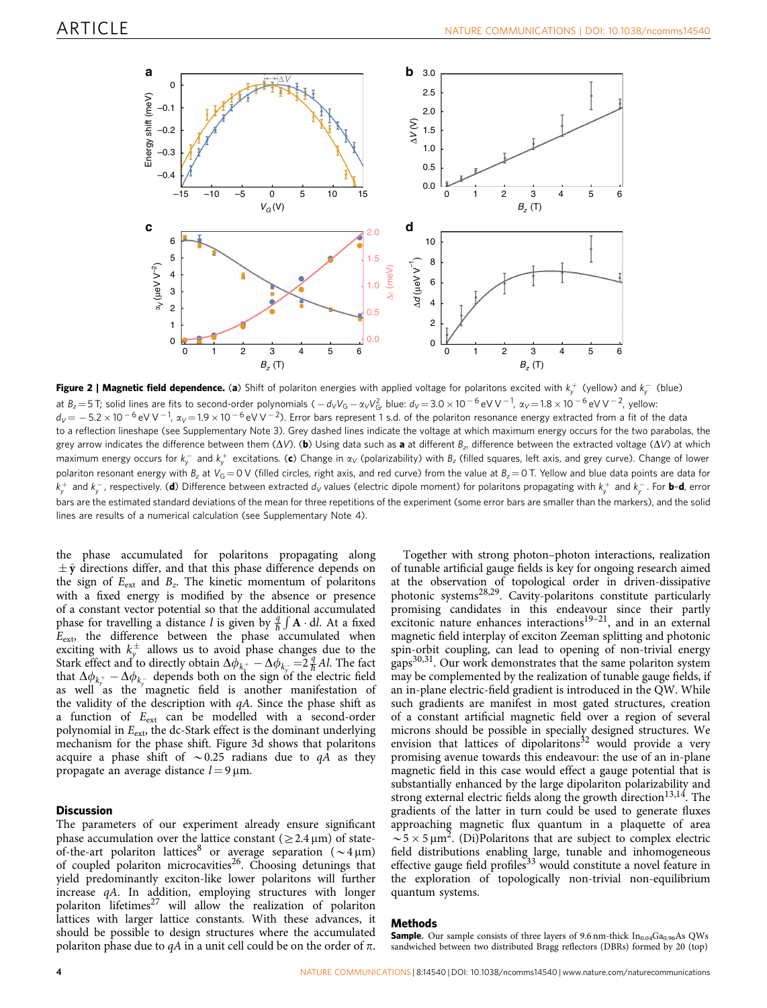<span id="page-4-0"></span>

**Figure 2 | Magnetic field dependence.** (**a**) Shift of polariton energies with applied voltage for polaritons excited with  $k_{y}^{+}$  (yellow) and  $k_{y}^{-}$  (blue) at  $B_z = 5$  T; solid lines are fits to second-order polynomials (  $-d_VV_G - \alpha_VV_G^2$ , blue:  $d_V = 3.0 \times 10^{-6}$  eV V  $^{-1}$ ,  $\alpha_V = 1.8 \times 10^{-6}$  eV V  $^{-2}$ , yellow:  $d_V$   $=$   $-$  5.2  $\times$  10  $^{-6}$  eV V  $^{-1}$ ,  $\alpha_V$   $=$  1.9  $\times$  10  $^{-6}$  eV V  $^{-2}$ ). Error bars represent 1 s.d. of the polariton resonance energy extracted from a fit of the data to a reflection lineshape (see Supplementary Note 3). Grey dashed lines indicate the voltage at which maximum energy occurs for the two parabolas, the grey arrow indicates the difference between them ( $\Delta V$ ). (b) Using data such as a at different Bz, difference between the extracted voltage ( $\Delta V$ ) at which maximum energy occurs for  $k_{y}^{-}$  and  $k_{y}^{+}$  excitations. (c) Change in  $\alpha_{V}$  (polarizability) with  $B_{z}$  (filled squares, left axis, and grey curve). Change of lower polariton resonant energy with B<sub>z</sub> at V<sub>G</sub> = 0 V (filled circles, right axis, and red curve) from the value at B<sub>z</sub> = 0 T. Yellow and blue data points are data for  $k_{y}^{+}$  and  $k_{y}^{-}$ , respectively. (**d**) Difference between extracted  $d_{V}$  values (electric dipole moment) for polaritons propagating with  $k_{y}^{+}$  and  $k_{y}^{-}$  . For **b-d**, error bars are the estimated standard deviations of the mean for three repetitions of the experiment (some error bars are smaller than the markers), and the solid lines are results of a numerical calculation (see Supplementary Note 4).

the phase accumulated for polaritons propagating along  $\pm \hat{y}$  directions differ, and that this phase difference depends on the sign of  $E_{ext}$  and  $B_z$ . The kinetic momentum of polaritons with a fixed energy is modified by the absence or presence of a constant vector potential so that the additional accumulated phase for travelling a distance l is given by  $\frac{a}{b} \int \mathbf{A} \cdot d\mathbf{l}$ . At a fixed  $E_{\text{ext}}$ , the difference between the phase accumulated when exciting with  $k_y^{\pm}$  allows us to avoid phase changes due to the Stark effect and to directly obtain  $\Delta \phi_{k_x^+} - \Delta \phi_{k_y^-} = 2 \frac{q}{\hbar} A l$ . The fact that  $\Delta \phi_{k_y^+} - \Delta \phi_{k_y^-}$  depends both on the sign of the electric field as well as the magnetic field is another manifestation of the validity of the description with  $qA$ . Since the phase shift as a function of Eext can be modelled with a second-order polynomial in  $E_{\text{ext}}$ , the dc-Stark effect is the dominant underlying mechanism for the phase shift. [Figure 3d](#page-5-0) shows that polaritons acquire a phase shift of  $\sim 0.25$  radians due to  $qA$  as they propagate an average distance  $l = 9 \,\mu m$ .

#### **Discussion**

The parameters of our experiment already ensure significant phase accumulation over the lattice constant ( $\geq$  2.4  $\mu$ m) of state-of-the-art polariton lattices<sup>[8](#page-6-0)</sup> or average separation ( $\sim$ 4 µm) of coupled polariton microcavities<sup>[26](#page-6-0)</sup>. Choosing detunings that yield predominantly exciton-like lower polaritons will further increase qA. In addition, employing structures with longer polariton lifetimes<sup>[27](#page-6-0)</sup> will allow the realization of polariton lattices with larger lattice constants. With these advances, it should be possible to design structures where the accumulated polariton phase due to  $qA$  in a unit cell could be on the order of  $\pi$ .

Together with strong photon–photon interactions, realization of tunable artificial gauge fields is key for ongoing research aimed at the observation of topological order in driven-dissipative photonic systems<sup>28,29</sup>. Cavity-polaritons constitute particularly promising candidates in this endeavour since their partly excitonic nature enhances interactions<sup>19–21</sup>, and in an external magnetic field interplay of exciton Zeeman splitting and photonic spin-orbit coupling, can lead to opening of non-trivial energy gaps<sup>30,31</sup>. Our work demonstrates that the same polariton system may be complemented by the realization of tunable gauge fields, if an in-plane electric-field gradient is introduced in the QW. While such gradients are manifest in most gated structures, creation of a constant artificial magnetic field over a region of several microns should be possible in specially designed structures. We envision that lattices of dipolaritons $32$  would provide a very promising avenue towards this endeavour: the use of an in-plane magnetic field in this case would effect a gauge potential that is substantially enhanced by the large dipolariton polarizability and strong external electric fields along the growth direction<sup>[13,14](#page-6-0)</sup>. The gradients of the latter in turn could be used to generate fluxes approaching magnetic flux quantum in a plaquette of area  $\sim 5 \times 5 \mu m^2$ . (Di)Polaritons that are subject to complex electric field distributions enabling large, tunable and inhomogeneous effective gauge field profiles<sup>[33](#page-6-0)</sup> would constitute a novel feature in the exploration of topologically non-trivial non-equilibrium quantum systems.

#### Methods

**Sample.** Our sample consists of three layers of 9.6 nm-thick  $In_{0.04}Ga_{0.96}As$  QWs sandwiched between two distributed Bragg reflectors (DBRs) formed by 20 (top)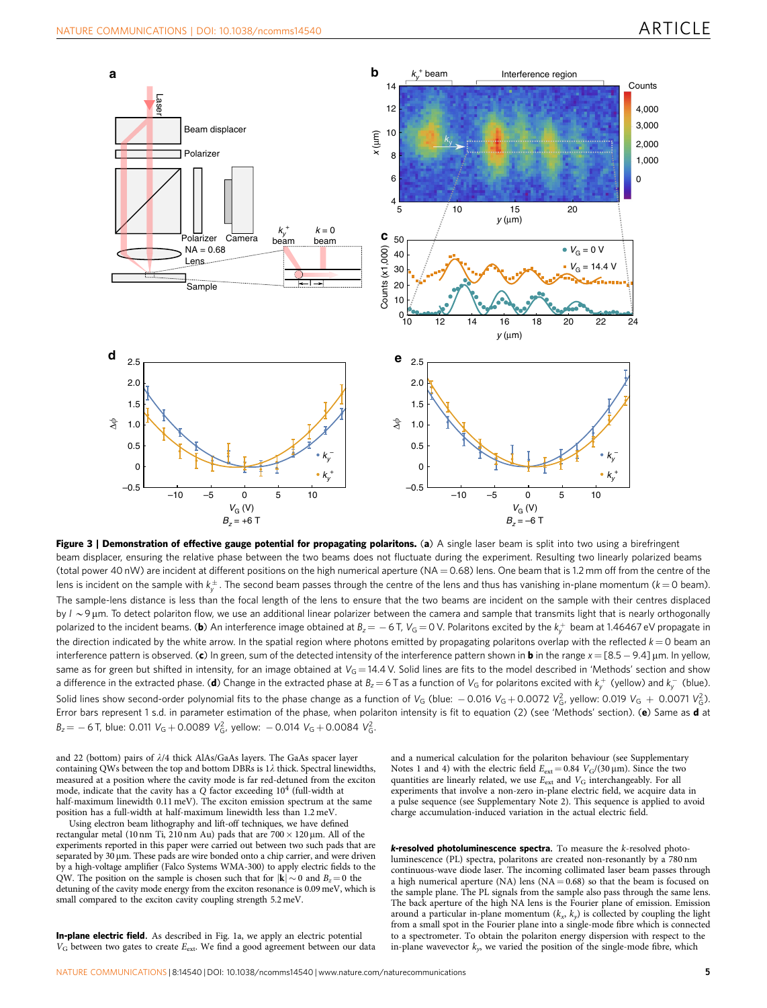<span id="page-5-0"></span>

Figure 3 | Demonstration of effective gauge potential for propagating polaritons. (a) A single laser beam is split into two using a birefringent beam displacer, ensuring the relative phase between the two beams does not fluctuate during the experiment. Resulting two linearly polarized beams (total power 40 nW) are incident at different positions on the high numerical aperture ( $NA = 0.68$ ) lens. One beam that is 1.2 mm off from the centre of the lens is incident on the sample with  $k^{\pm}_\tau.$  The second beam passes through the centre of the lens and thus has vanishing in-plane momentum ( $k$   $=$  0 beam). The sample-lens distance is less than the focal length of the lens to ensure that the two beams are incident on the sample with their centres displaced by  $l \sim 9$  µm. To detect polariton flow, we use an additional linear polarizer between the camera and sample that transmits light that is nearly orthogonally polarized to the incident beams. (**b**) An interference image obtained at  $B_z$   $=$   $-$  6 T,  $V_{\rm G}$   $=$  0 V. Polaritons excited by the  $k_{y}^+$  beam at 1.46467 eV propagate in the direction indicated by the white arrow. In the spatial region where photons emitted by propagating polaritons overlap with the reflected  $k = 0$  beam an interference pattern is observed. (c) In green, sum of the detected intensity of the interference pattern shown in **b** in the range  $x = [8.5 - 9.4]$  µm. In yellow, same as for green but shifted in intensity, for an image obtained at  $V_G = 14.4$  V. Solid lines are fits to the model described in 'Methods' section and show a difference in the extracted phase. (**d**) Change in the extracted phase at  $B_z=6$  T as a function of  $V_{\rm G}$  for polaritons excited with  $k_{y}^{+}$  (yellow) and  $k_{y}^{-}$  (blue). Solid lines show second-order polynomial fits to the phase change as a function of V<sub>G</sub> (blue:  $-$  0.016 V<sub>G</sub> + 0.0072 V $_6^2$ , yellow: 0.019 V<sub>G</sub> + 0.0071 V $_6^2$ ). Error bars represent 1 s.d. in parameter estimation of the phase, when polariton intensity is fit to equation (2) (see 'Methods' section). (e) Same as d at  $B_z = -6$  T, blue: 0.011  $V_G + 0.0089 V_G^2$ , yellow:  $-0.014 V_G + 0.0084 V_G^2$ .

and 22 (bottom) pairs of  $\lambda$ /4 thick AlAs/GaAs layers. The GaAs spacer layer containing QWs between the top and bottom DBRs is  $1\lambda$  thick. Spectral linewidths, measured at a position where the cavity mode is far red-detuned from the exciton mode, indicate that the cavity has a  $Q$  factor exceeding  $10^4$  (full-width at half-maximum linewidth 0.11 meV). The exciton emission spectrum at the same position has a full-width at half-maximum linewidth less than 1.2 meV.

Using electron beam lithography and lift-off techniques, we have defined rectangular metal (10 nm Ti, 210 nm Au) pads that are  $700 \times 120 \,\mu \text{m}$ . All of the experiments reported in this paper were carried out between two such pads that are separated by  $30 \mu m$ . These pads are wire bonded onto a chip carrier, and were driven by a high-voltage amplifier (Falco Systems WMA-300) to apply electric fields to the QW. The position on the sample is chosen such that for  $|\mathbf{k}| \sim 0$  and  $B_z = 0$  the detuning of the cavity mode energy from the exciton resonance is 0.09 meV, which is small compared to the exciton cavity coupling strength 5.2 meV.

In-plane electric field. As described in [Fig. 1a,](#page-3-0) we apply an electric potential  $V_G$  between two gates to create  $E_{ext}$ . We find a good agreement between our data

and a numerical calculation for the polariton behaviour (see Supplementary Notes 1 and 4) with the electric field  $E_{ext} = 0.84$  V<sub>G</sub>/(30 µm). Since the two quantities are linearly related, we use  $E_{\rm ext}$  and  $V_{\rm G}$  interchangeably. For all experiments that involve a non-zero in-plane electric field, we acquire data in a pulse sequence (see Supplementary Note 2). This sequence is applied to avoid charge accumulation-induced variation in the actual electric field.

k-resolved photoluminescence spectra. To measure the k-resolved photoluminescence (PL) spectra, polaritons are created non-resonantly by a 780 nm continuous-wave diode laser. The incoming collimated laser beam passes through a high numerical aperture (NA) lens (NA =  $0.68$ ) so that the beam is focused on the sample plane. The PL signals from the sample also pass through the same lens. The back aperture of the high NA lens is the Fourier plane of emission. Emission around a particular in-plane momentum  $(k_x, k_y)$  is collected by coupling the light from a small spot in the Fourier plane into a single-mode fibre which is connected to a spectrometer. To obtain the polariton energy dispersion with respect to the in-plane wavevector  $k_y$ , we varied the position of the single-mode fibre, which